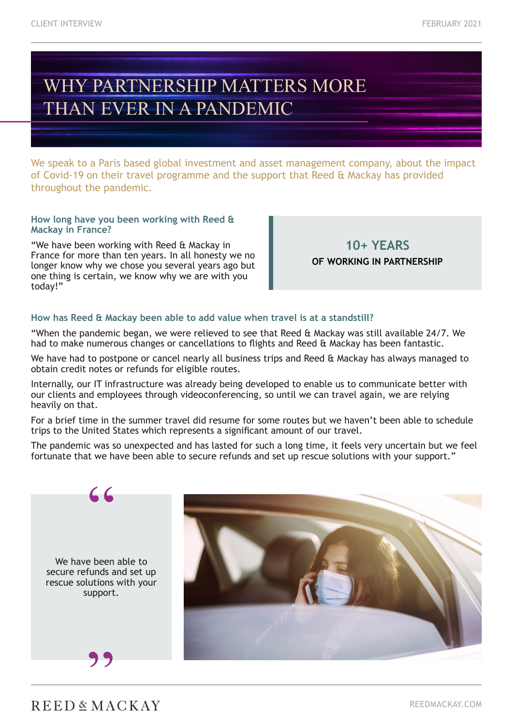# WHY PARTNERSHIP MATTERS MORE THAN EVER IN A PANDEMIC

We speak to a Paris based global investment and asset management company, about the impact of Covid-19 on their travel programme and the support that Reed & Mackay has provided throughout the pandemic.

#### **How long have you been working with Reed & Mackay in France?**

"We have been working with Reed & Mackay in France for more than ten years. In all honesty we no longer know why we chose you several years ago but one thing is certain, we know why we are with you today!"

**10+ YEARS OF WORKING IN PARTNERSHIP**

### **How has Reed & Mackay been able to add value when travel is at a standstill?**

"When the pandemic began, we were relieved to see that Reed & Mackay was still available 24/7. We had to make numerous changes or cancellations to flights and Reed & Mackay has been fantastic.

We have had to postpone or cancel nearly all business trips and Reed & Mackay has always managed to obtain credit notes or refunds for eligible routes.

Internally, our IT infrastructure was already being developed to enable us to communicate better with our clients and employees through videoconferencing, so until we can travel again, we are relying heavily on that.

For a brief time in the summer travel did resume for some routes but we haven't been able to schedule trips to the United States which represents a significant amount of our travel.

The pandemic was so unexpected and has lasted for such a long time, it feels very uncertain but we feel fortunate that we have been able to secure refunds and set up rescue solutions with your support."



"



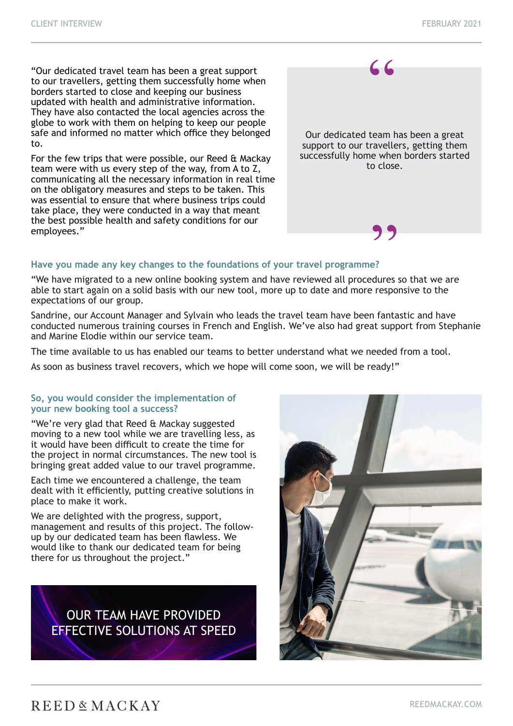"Our dedicated travel team has been a great support to our travellers, getting them successfully home when borders started to close and keeping our business updated with health and administrative information. They have also contacted the local agencies across the globe to work with them on helping to keep our people safe and informed no matter which office they belonged to.

For the few trips that were possible, our Reed & Mackay team were with us every step of the way, from A to Z, communicating all the necessary information in real time on the obligatory measures and steps to be taken. This was essential to ensure that where business trips could take place, they were conducted in a way that meant the best possible health and safety conditions for our employees."



#### **Have you made any key changes to the foundations of your travel programme?**

"We have migrated to a new online booking system and have reviewed all procedures so that we are able to start again on a solid basis with our new tool, more up to date and more responsive to the expectations of our group.

Sandrine, our Account Manager and Sylvain who leads the travel team have been fantastic and have conducted numerous training courses in French and English. We've also had great support from Stephanie and Marine Elodie within our service team.

The time available to us has enabled our teams to better understand what we needed from a tool.

As soon as business travel recovers, which we hope will come soon, we will be ready!"

#### **So, you would consider the implementation of your new booking tool a success?**

"We're very glad that Reed & Mackay suggested moving to a new tool while we are travelling less, as it would have been difficult to create the time for the project in normal circumstances. The new tool is bringing great added value to our travel programme.

Each time we encountered a challenge, the team dealt with it efficiently, putting creative solutions in place to make it work.

We are delighted with the progress, support, management and results of this project. The followup by our dedicated team has been flawless. We would like to thank our dedicated team for being there for us throughout the project."